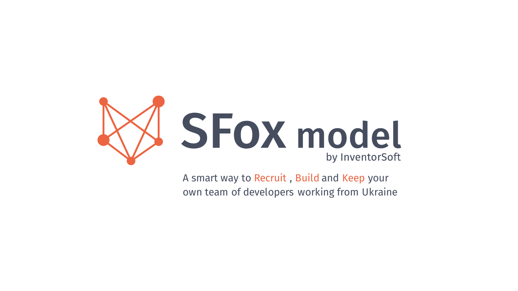

A smart way to Recruit , Build and Keep your own team of developers working from Ukraine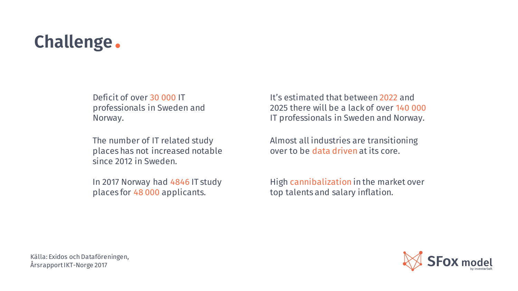## Challenge .

Deficit of over 30 000 IT professionals in Sweden and Norway.

The number of IT related study places has not increased notable since 2012 in Sweden.

In 2017 Norway had 4846 IT study places for 48 000 applicants.

It's estimated that between 2022 and 2025 there will be a lack of over 140 000 IT professionals in Sweden and Norway.

Almost all industries are transitioning over to be data driven at its core.

High cannibalization in the market over top talents and salary inflation.

Källa: Exidos och Dataföreningen, Årsrapport IKT-Norge 2017

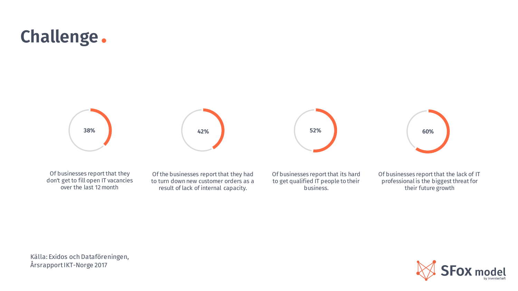## Challenge .



Of businesses report that they don't get to fill open IT vacancies over the last 12 month

Of the businesses report that they had to turn down new customer orders as a result of lack of internal capacity.

Of businesses report that its hard to get qualified IT people to their business.

Of businesses report that the lack of IT professional is the biggest threat for their future growth

Källa: Exidos och Dataföreningen, Årsrapport IKT-Norge 2017

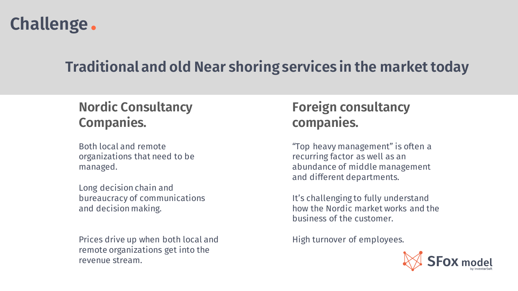

### Traditional and old Near shoring services in the market today

### Nordic Consultancy Companies.

Both local and remote organizations that need to be managed.

Long decision chain and bureaucracy of communications and decision making.

Prices drive up when both local and remote organizations get into the revenue stream.

### Foreign consultancy companies.

"Top heavy management" is often a recurring factor as well as an abundance of middle management and different departments.

It's challenging to fully understand how the Nordic market works and the business of the customer.

High turnover of employees.

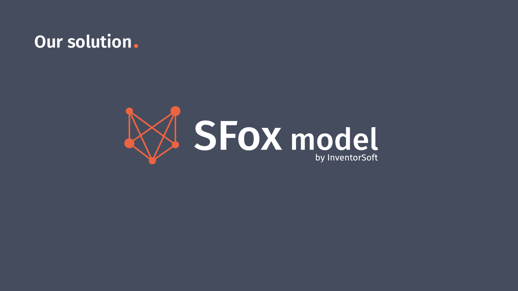### Our solution.

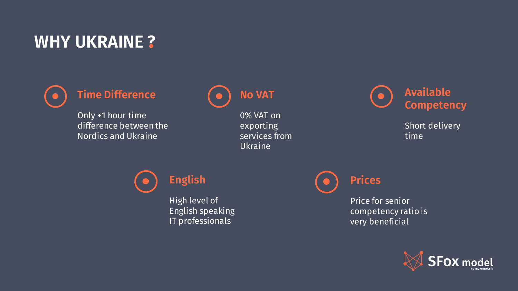### WHY UKRAINE ?



### Time Difference

Only +1 hour time difference between the Nordics and Ukraine



0% VAT on exporting services from Ukraine



Short delivery time



High level of English speaking IT professionals

Prices

Price for senior competency ratio is very beneficial

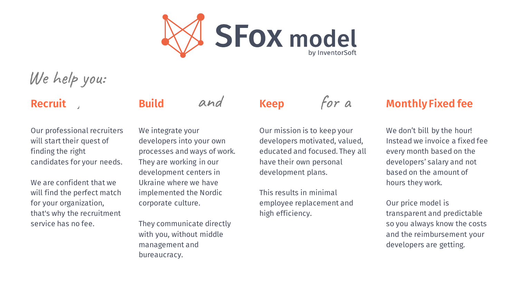

## We help you:

### Recruit

Build

Our professional recruiters will start their quest of finding the right candidates for your needs.

We are confident that we will find the perfect match for your organization, that's why the recruitment service has no fee.

We integrate your developers into your own processes and ways of work. They are working in our development centers in Ukraine where we have implemented the Nordic corporate culture.

and

They communicate directly with you, without middle management and bureaucracy.

### Keep

Our mission is to keep your developers motivated, valued, educated and focused. They all have their own personal development plans.

for a

This results in minimal employee replacement and high efficiency.

### Monthly Fixed fee

We don't bill by the hour! Instead we invoice a fixed fee every month based on the developers' salary and not based on the amount of hours they work.

Our price model is transparent and predictable so you always know the costs and the reimbursement your developers are getting.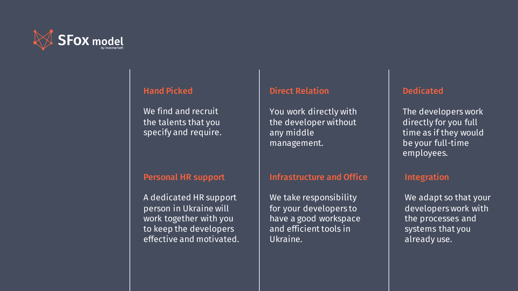

#### Hand Picked

We find and recruit the talents that you specify and require.

#### Personal HR support

A dedicated HR support person in Ukraine will work together with you to keep the developers effective and motivated.

#### Direct Relation

You work directly with the developer without any middle management.

#### Infrastructure and Office

We take responsibility for your developers to have a good workspace and efficient tools in Ukraine.

#### Dedicated

The developers work directly for you full time as if they would be your full-time employees.

#### Integration

We adapt so that your developers work with the processes and systems that you already use.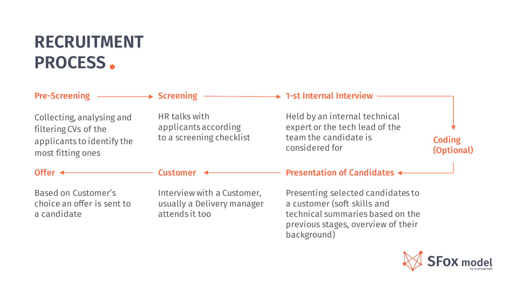# **RECRUITMENT PROCESS** .

|                                                                                                      | Pre-Screening – → Screening – → 1-st Internal Interview –                  |                                                                                                                                                           |                      |
|------------------------------------------------------------------------------------------------------|----------------------------------------------------------------------------|-----------------------------------------------------------------------------------------------------------------------------------------------------------|----------------------|
| Collecting, analysing and<br>filtering CVs of the<br>applicants to identify the<br>most fitting ones | HR talks with<br>applicants according<br>to a screening checklist          | Held by an internal technical<br>expert or the tech lead of the<br>team the candidate is<br>considered for                                                | Coding<br>(Optional) |
| Offer $\leftarrow$                                                                                   | Customer <                                                                 | <b>Presentation of Candidates &lt;&gt;&gt;&gt;</b>                                                                                                        |                      |
| <b>Based on Customer's</b><br>choice an offer is sent to<br>a candidate                              | Interview with a Customer,<br>usually a Delivery manager<br>attends it too | Presenting selected candidates to<br>a customer (soft skills and<br>technical summaries based on the<br>previous stages, overview of their<br>background) |                      |

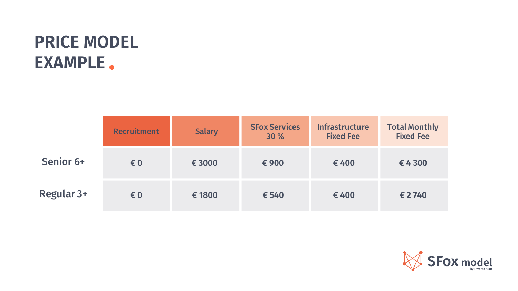# . **EXAMPLEPRICE MODEL**

|            | <b>Recruitment</b>      | <b>Salary</b> | <b>SFox Services</b><br>30 % | <b>Infrastructure</b><br><b>Fixed Fee</b> | <b>Total Monthly</b><br><b>Fixed Fee</b> |
|------------|-------------------------|---------------|------------------------------|-------------------------------------------|------------------------------------------|
| Senior 6+  | $\epsilon$ <sub>0</sub> | € 3000        | €900                         | €400                                      | €4300                                    |
| Regular 3+ | € 0                     | € 1800        | € 540                        | €400                                      | € 2740                                   |

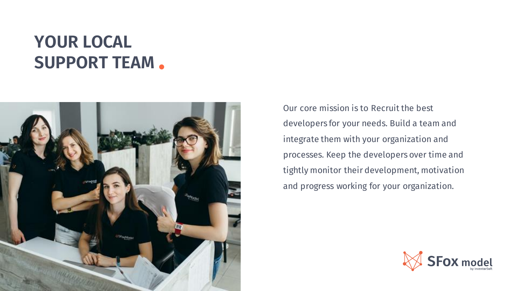# **YOUR LOCAL SUPPORT TEAM** .



Our core mission is to Recruit the best developers for your needs. Build a team and integrate them with your organization and processes. Keep the developers over time and tightly monitor their development, motivation and progress working for your organization.

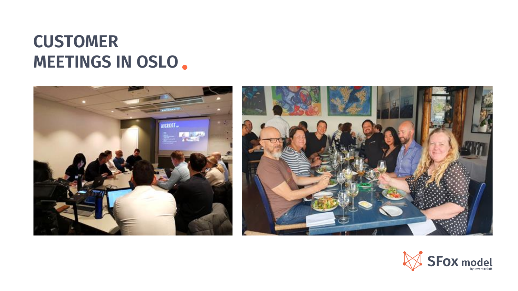## **CUSTOMER MEETINGS IN OSLO** .



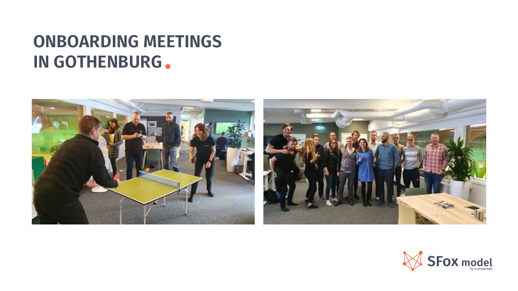## **ONBOARDING MEETINGS IN GOTHENBURG**.



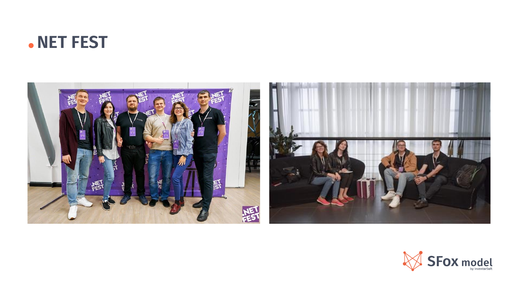### .**NET FEST**



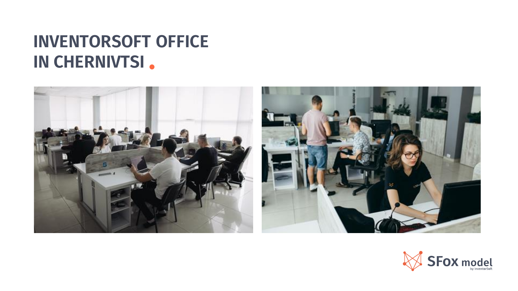## **INVENTORSOFT OFFICE IN CHERNIVTSI** .



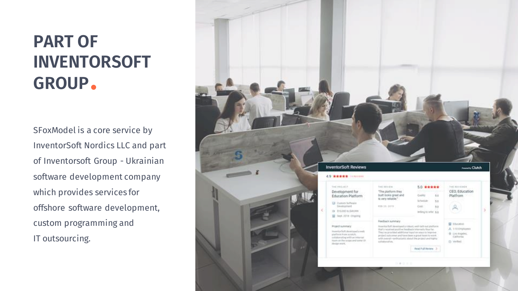# **PART OF INVENTORSOFT GROUP**.

SFoxModel is a core service by InventorSoft Nordics LLC and part of Inventorsoft Group - Ukrainian software development company which provides services for offshore software development, custom programming and IT outsourcing.